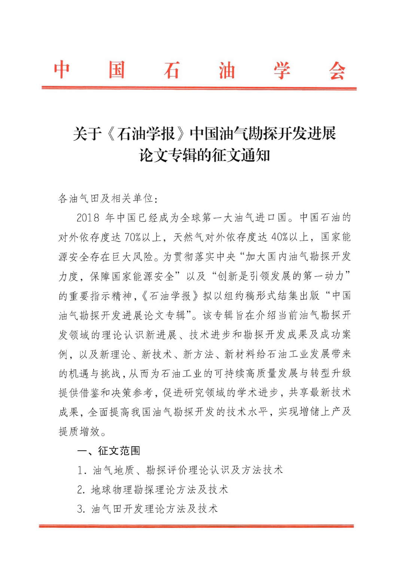## 关于《石油学报》中国油气勘探开发进展 论文专辑的征文通知

各油气田及相关单位:

2018年中国已经成为全球第一大油气进口国。中国石油的 对外依存度达70%以上,天然气对外依存度达40%以上,国家能 源安全存在巨大风险。为贯彻落实中央"加大国内油气勘探开发 力度, 保障国家能源安全"以及"创新是引领发展的第一动力" 的重要指示精神,《石油学报》拟以组约稿形式结集出版"中国 油气勘探开发进展论文专辑"。该专辑旨在介绍当前油气勘探开 发领域的理论认识新进展、技术进步和勘探开发成果及成功案 例, 以及新理论、新技术、新方法、新材料给石油工业发展带来 的机遇与挑战,从而为石油工业的可持续高质量发展与转型升级 提供借鉴和决策参考,促进研究领域的学术进步,共享最新技术 成果, 全面提高我国油气勘探开发的技术水平, 实现增储上产及 提质增效。

一、征文范围

1. 油气地质、勘探评价理论认识及方法技术

2. 地球物理勘探理论方法及技术

3. 油气田开发理论方法及技术